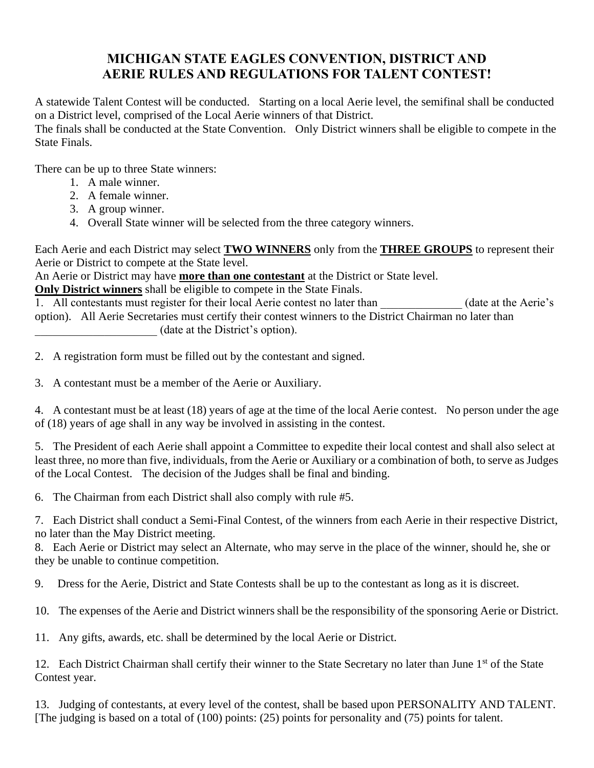## **MICHIGAN STATE EAGLES CONVENTION, DISTRICT AND AERIE RULES AND REGULATIONS FOR TALENT CONTEST!**

A statewide Talent Contest will be conducted. Starting on a local Aerie level, the semifinal shall be conducted on a District level, comprised of the Local Aerie winners of that District. The finals shall be conducted at the State Convention. Only District winners shall be eligible to compete in the

There can be up to three State winners:

1. A male winner.

State Finals.

- 2. A female winner.
- 3. A group winner.
- 4. Overall State winner will be selected from the three category winners.

Each Aerie and each District may select **TWO WINNERS** only from the **THREE GROUPS** to represent their Aerie or District to compete at the State level.

An Aerie or District may have **more than one contestant** at the District or State level.

**Only District winners** shall be eligible to compete in the State Finals.

1. All contestants must register for their local Aerie contest no later than (date at the Aerie's option). All Aerie Secretaries must certify their contest winners to the District Chairman no later than \_\_\_\_\_\_\_\_\_\_\_\_\_\_\_\_\_\_\_\_\_ (date at the District's option).

2. A registration form must be filled out by the contestant and signed.

3. A contestant must be a member of the Aerie or Auxiliary.

4. A contestant must be at least (18) years of age at the time of the local Aerie contest. No person under the age of (18) years of age shall in any way be involved in assisting in the contest.

5. The President of each Aerie shall appoint a Committee to expedite their local contest and shall also select at least three, no more than five, individuals, from the Aerie or Auxiliary or a combination of both, to serve as Judges of the Local Contest. The decision of the Judges shall be final and binding.

6. The Chairman from each District shall also comply with rule #5.

7. Each District shall conduct a Semi-Final Contest, of the winners from each Aerie in their respective District, no later than the May District meeting.

8. Each Aerie or District may select an Alternate, who may serve in the place of the winner, should he, she or they be unable to continue competition.

9. Dress for the Aerie, District and State Contests shall be up to the contestant as long as it is discreet.

10. The expenses of the Aerie and District winners shall be the responsibility of the sponsoring Aerie or District.

11. Any gifts, awards, etc. shall be determined by the local Aerie or District.

12. Each District Chairman shall certify their winner to the State Secretary no later than June 1<sup>st</sup> of the State Contest year.

13. Judging of contestants, at every level of the contest, shall be based upon PERSONALITY AND TALENT. [The judging is based on a total of (100) points: (25) points for personality and (75) points for talent.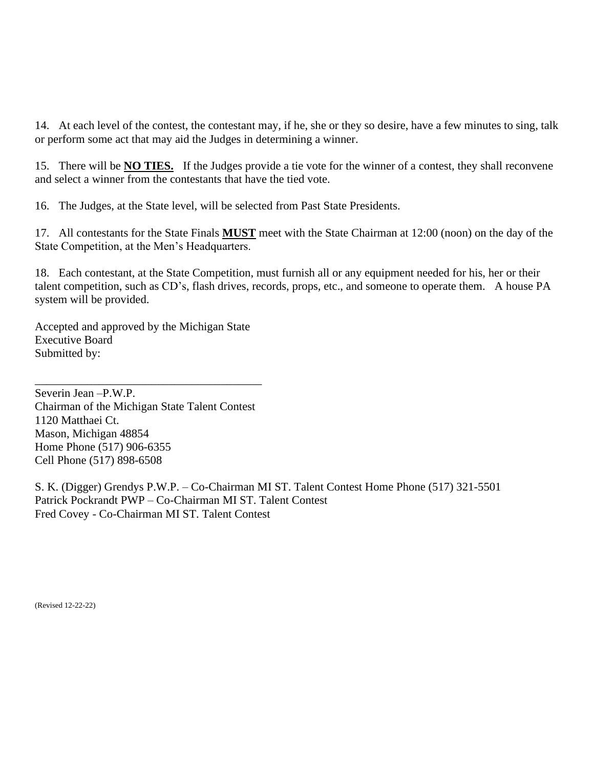14. At each level of the contest, the contestant may, if he, she or they so desire, have a few minutes to sing, talk or perform some act that may aid the Judges in determining a winner.

15. There will be **NO TIES.** If the Judges provide a tie vote for the winner of a contest, they shall reconvene and select a winner from the contestants that have the tied vote.

16. The Judges, at the State level, will be selected from Past State Presidents.

17. All contestants for the State Finals **MUST** meet with the State Chairman at 12:00 (noon) on the day of the State Competition, at the Men's Headquarters.

18. Each contestant, at the State Competition, must furnish all or any equipment needed for his, her or their talent competition, such as CD's, flash drives, records, props, etc., and someone to operate them. A house PA system will be provided.

Accepted and approved by the Michigan State Executive Board Submitted by:

Severin Jean –P.W.P. Chairman of the Michigan State Talent Contest 1120 Matthaei Ct. Mason, Michigan 48854 Home Phone (517) 906-6355 Cell Phone (517) 898-6508

\_\_\_\_\_\_\_\_\_\_\_\_\_\_\_\_\_\_\_\_\_\_\_\_\_\_\_\_\_\_\_\_\_\_\_\_\_\_\_

S. K. (Digger) Grendys P.W.P. – Co-Chairman MI ST. Talent Contest Home Phone (517) 321-5501 Patrick Pockrandt PWP – Co-Chairman MI ST. Talent Contest Fred Covey - Co-Chairman MI ST. Talent Contest

(Revised 12-22-22)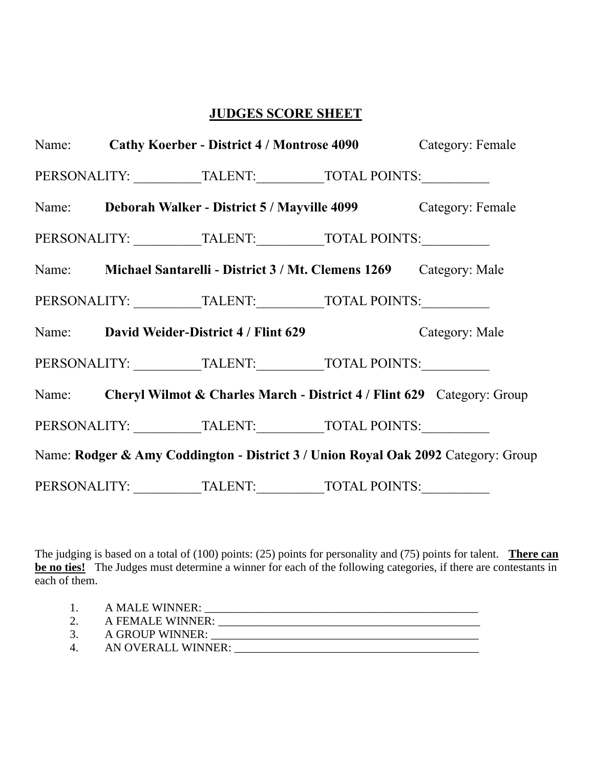## **JUDGES SCORE SHEET**

|  | Name: Cathy Koerber - District 4 / Montrose 4090                                  | Category: Female |
|--|-----------------------------------------------------------------------------------|------------------|
|  | PERSONALITY: ___________TALENT:____________TOTAL POINTS:____________              |                  |
|  | Name: Deborah Walker - District 5 / Mayville 4099 Category: Female                |                  |
|  | PERSONALITY: ___________TALENT:____________TOTAL POINTS:____________              |                  |
|  | Name: Michael Santarelli - District 3 / Mt. Clemens 1269 Category: Male           |                  |
|  | PERSONALITY: ___________TALENT: ____________TOTAL POINTS: _______________________ |                  |
|  | Name: David Weider-District 4 / Flint 629                                         | Category: Male   |
|  | PERSONALITY: ___________TALENT: ____________TOTAL POINTS: _______________________ |                  |
|  | Name: Cheryl Wilmot & Charles March - District 4 / Flint 629 Category: Group      |                  |
|  | PERSONALITY: TALENT: TOTAL POINTS:                                                |                  |
|  | Name: Rodger & Amy Coddington - District 3 / Union Royal Oak 2092 Category: Group |                  |
|  | PERSONALITY: ___________TALENT: ____________TOTAL POINTS:                         | $\overline{a}$   |

The judging is based on a total of (100) points: (25) points for personality and (75) points for talent. **There can be no ties!** The Judges must determine a winner for each of the following categories, if there are contestants in each of them.

- 1. A MALE WINNER: \_\_\_\_\_\_\_\_\_\_\_\_\_\_\_\_\_\_\_\_\_\_\_\_\_\_\_\_\_\_\_\_\_\_\_\_\_\_\_\_\_\_\_\_\_\_\_ 2. A FEMALE WINNER: \_\_\_\_\_\_\_\_\_\_\_\_\_\_\_\_\_\_\_\_\_\_\_\_\_\_\_\_\_\_\_\_\_\_\_\_\_\_\_\_\_\_\_\_\_
- 
- 3. A GROUP WINNER: \_\_\_\_\_\_\_\_\_\_\_\_\_\_\_\_\_\_\_\_\_\_\_\_\_\_\_\_\_\_\_\_\_\_\_\_\_\_\_\_\_\_\_\_\_\_ 4. AN OVERALL WINNER: \_\_\_\_\_\_\_\_\_\_\_\_\_\_\_\_\_\_\_\_\_\_\_\_\_\_\_\_\_\_\_\_\_\_\_\_\_\_\_\_\_\_